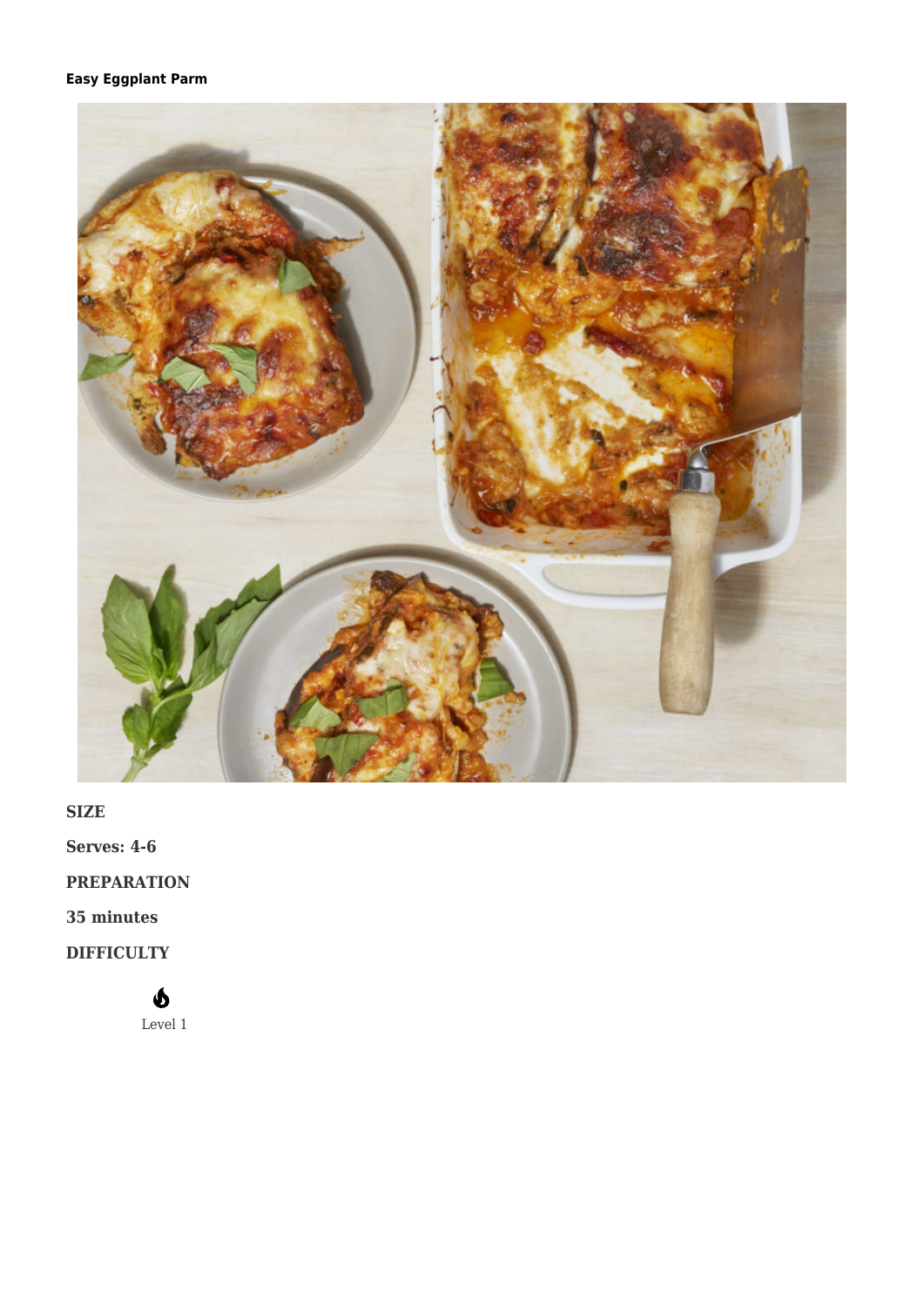## **[Easy Eggplant Parm](https://afoodblog.notjust.co/2022/05/08/easy-eggplant-parm/)**



**SIZE**

**Serves: 4-6**

**PREPARATION**

**35 minutes**

**DIFFICULTY**

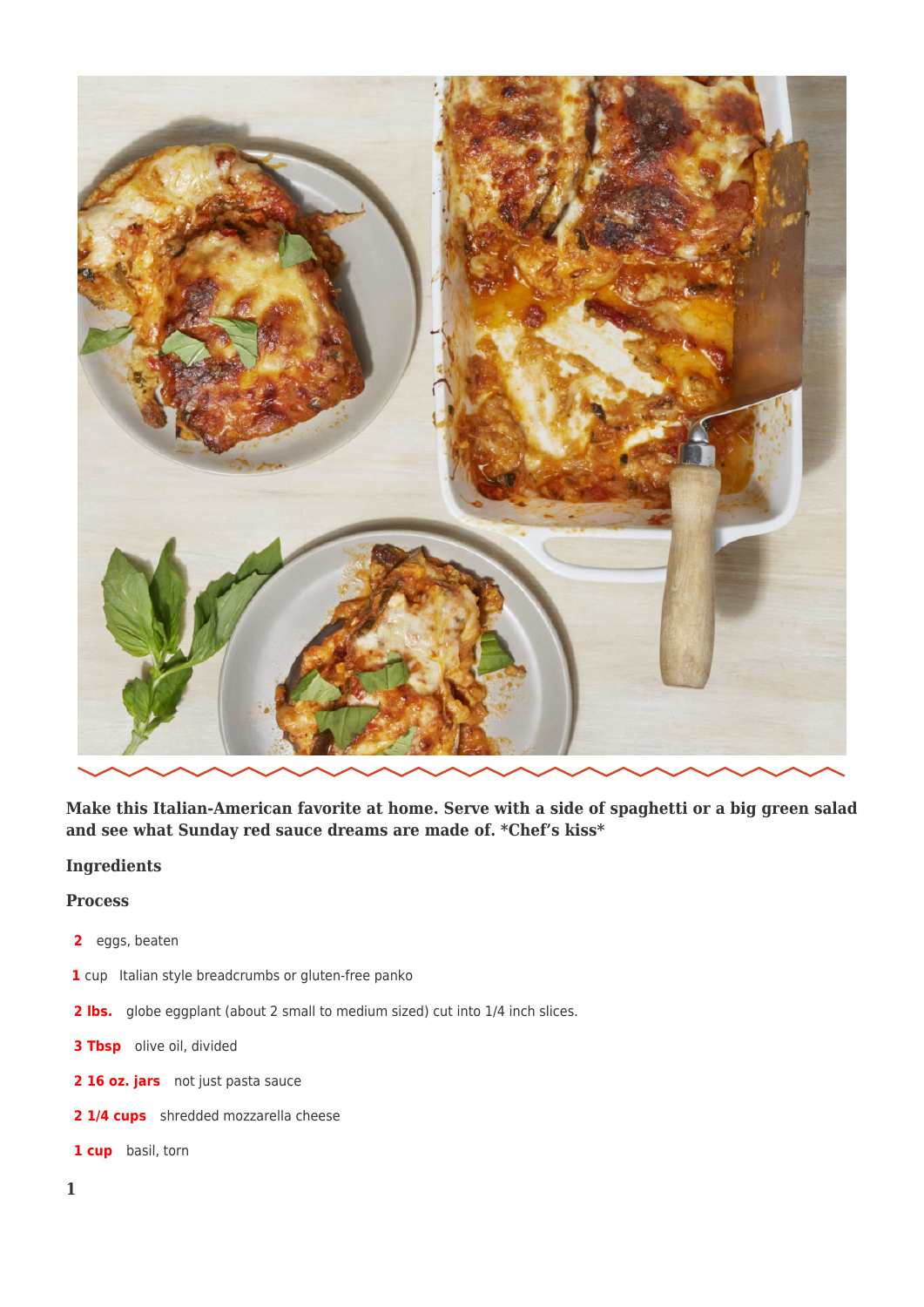

**Make this Italian-American favorite at home. Serve with a side of spaghetti or a big green salad and see what Sunday red sauce dreams are made of. \*Chef's kiss\***

## **Ingredients**

## **Process**

- **2** eggs, beaten
- **1** cup Italian style breadcrumbs or gluten-free panko
- 2 lbs. globe eggplant (about 2 small to medium sized) cut into 1/4 inch slices.
- **3 Tbsp** olive oil, divided
- 2 16 oz. jars not just pasta sauce
- **2 1/4 cups** shredded mozzarella cheese
- **1 cup** basil, torn